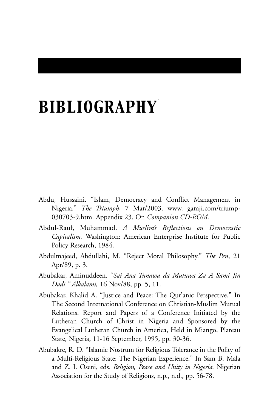## *BIBLIOGRAPHY*1

- Abdu, Hussaini. "Islam, Democracy and Conflict Management in Nigeria." *The Triumph*, 7 Mar/2003. www. gamji.com/triump-030703-9.htm. Appendix 23. On *Companion CD-ROM.*
- Abdul-Rauf, Muhammad. *A Muslim's Reflections on Democratic Capitalism.* Washington: American Enterprise Institute for Public Policy Research, 1984.
- Abdulmajeed, Abdullahi, M. "Reject Moral Philosophy." *The Pen*, 21 Apr/89, p. 3.
- Abubakar, Aminuddeen. "*Sai Ana Tunawa da Mutuwa Za A Sami Jin Dadi." Alkalami,* 16 Nov/88, pp. 5, 11.
- Abubakar, Khalid A. "Justice and Peace: The Qur'anic Perspective." In The Second International Conference on Christian-Muslim Mutual Relations. Report and Papers of a Conference Initiated by the Lutheran Church of Christ in Nigeria and Sponsored by the Evangelical Lutheran Church in America, Held in Miango, Plateau State, Nigeria, 11-16 September, 1995, pp. 30-36.
- Abubakre, R. D. "Islamic Nostrum for Religious Tolerance in the Polity of a Multi-Religious State: The Nigerian Experience." In Sam B. Mala and Z. I. Oseni, eds. *Religion, Peace and Unity in Nigeria.* Nigerian Association for the Study of Religions, n.p., n.d., pp. 56-78.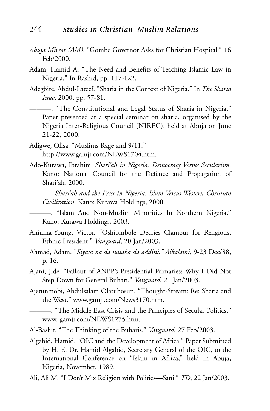- *Abuja Mirror (AM)*. "Gombe Governor Asks for Christian Hospital." 16 Feb/2000.
- Adam, Hamid A. "The Need and Benefits of Teaching Islamic Law in Nigeria." In Rashid, pp. 117-122.
- Adegbite, Abdul-Lateef. "Sharia in the Context of Nigeria." In *The Sharia Issue*, 2000, pp. 57-81.

———. "The Constitutional and Legal Status of Sharia in Nigeria." Paper presented at a special seminar on sharia, organised by the Nigeria Inter-Religious Council (NIREC), held at Abuja on June 21-22, 2000.

- Adigwe, Olisa. "Muslims Rage and 9/11." http://www.gamji.com/NEWS1704.htm.
- Ado-Kurawa, Ibrahim. *Shari'ah in Nigeria: Democracy Versus Secularism.* Kano: National Council for the Defence and Propagation of Shari'ah, 2000.
	- ———. *Shari'ah and the Press in Nigeria: Islam Versus Western Christian Civilization.* Kano: Kurawa Holdings, 2000.

———. "Islam And Non-Muslim Minorities In Northern Nigeria." Kano: Kurawa Holdings, 2003.

- Ahiuma-Young, Victor. "Oshiombole Decries Clamour for Religious, Ethnic President." *Vanguard*, 20 Jan/2003.
- Ahmad, Adam. "*Siyasa na da nasaba da addini." Alkalami*, 9-23 Dec/88, p. 16.
- Ajani, Jide. "Fallout of ANPP's Presidential Primaries: Why I Did Not Step Down for General Buhari." *Vanguard*, 21 Jan/2003.
- Ajetunmobi, Abdulsalam Olatubosun. "Thought-Stream: Re: Sharia and the West." www.gamji.com/News3170.htm.

———. "The Middle East Crisis and the Principles of Secular Politics." www. gamji.com/NEWS1275.htm.

- Al-Bashir. "The Thinking of the Buharis." *Vanguard*, 27 Feb/2003.
- Algabid, Hamid. "OIC and the Development of Africa." Paper Submitted by H. E. Dr. Hamid Algabid, Secretary General of the OIC, to the International Conference on "Islam in Africa," held in Abuja, Nigeria, November, 1989.
- Ali, Ali M. "I Don't Mix Religion with Politics—Sani." *TD*, 22 Jan/2003.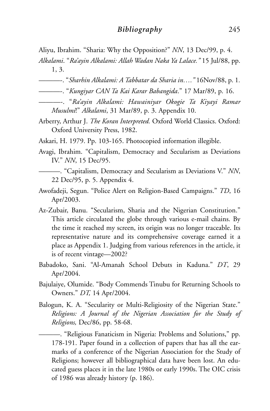- Aliyu, Ibrahim. "Sharia: Why the Opposition?" *NN*, 13 Dec/99, p. 4.
- *Alkalami*. "*Ra'ayin Alkalami: Allah Wadan Naka Ya Lalace."* 15 Jul/88, pp. 1, 3.
- ———-. "*Sharhin Alkalami: A Tabbatar da Sharia in…."* 16Nov/88, p. 1*.*
- ———-. "*Kungiyar CAN Ta Kai Karar Babangida*." 17 Mar/89, p. 16.
- ———-. "*Ra'ayin Alkalami: Hawainiyar Okogie Ta Kiyayi Ramar Musulmi*!" *Alkalami*, 31 Mar/89, p. 3. Appendix 10.
- Arberry, Arthur J. *The Koran Interpreted.* Oxford World Classics. Oxford: Oxford University Press, 1982.
- Askari, H. 1979. Pp. 103-165. Photocopied information illegible.
- Avagi, Ibrahim. "Capitalism, Democracy and Secularism as Deviations IV." *NN*, 15 Dec/95.
	- ———. "Capitalism, Democracy and Secularism as Deviations V." *NN*, 22 Dec/95, p. 5. Appendix 4.
- Awofadeji, Segun. "Police Alert on Religion-Based Campaigns." *TD*, 16 Apr/2003.
- Az-Zubair, Banu. "Secularism, Sharia and the Nigerian Constitution." This article circulated the globe through various e-mail chains. By the time it reached my screen, its origin was no longer traceable. Its representative nature and its comprehensive coverage earned it a place as Appendix 1. Judging from various references in the article, it is of recent vintage—2002?
- Babadoko, Sani. "Al-Amanah School Debuts in Kaduna." *DT*, 29 Apr/2004.
- Bajulaiye, Olumide. "Body Commends Tinubu for Returning Schools to Owners." *DT,* 14 Apr/2004.
- Balogun, K. A. "Secularity or Multi-Religiosity of the Nigerian State." *Religions: A Journal of the Nigerian Association for the Study of Religions,* Dec/86, pp. 58-68.

———. "Religious Fanaticism in Nigeria: Problems and Solutions," pp. 178-191. Paper found in a collection of papers that has all the earmarks of a conference of the Nigerian Association for the Study of Religions; however all bibliographical data have been lost. An educated guess places it in the late 1980s or early 1990s. The OIC crisis of 1986 was already history (p. 186).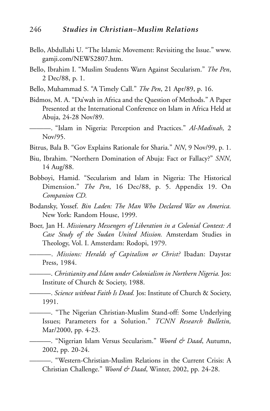- Bello, Abdullahi U. "The Islamic Movement: Revisiting the Issue." www. gamji.com/NEWS2807.htm.
- Bello, Ibrahim I. "Muslim Students Warn Against Secularism." *The Pen*, 2 Dec/88, p. 1.
- Bello, Muhammad S. "A Timely Call." *The Pen*, 21 Apr/89, p. 16.
- Bidmos, M. A. "Da'wah in Africa and the Question of Methods." A Paper Presented at the International Conference on Islam in Africa Held at Abuja, 24-28 Nov/89.
- ———. "Islam in Nigeria: Perception and Practices." *Al-Madinah*, 2 Nov/95.
- Bitrus, Bala B. "Gov Explains Rationale for Sharia." *NN*, 9 Nov/99, p. 1.
- Biu, Ibrahim. "Northern Domination of Abuja: Fact or Fallacy?" *SNN*, 14 Aug/88.
- Bobboyi, Hamid. "Secularism and Islam in Nigeria: The Historical Dimension." *The Pen*, 16 Dec/88, p. 5. Appendix 19. On *Companion CD.*
- Bodansky, Yossef. *Bin Laden: The Man Who Declared War on America.* New York: Random House, 1999.
- Boer, Jan H. *Missionary Messengers of Liberation in a Colonial Context: A Case Study of the Sudan United Mission.* Amsterdam Studies in Theology, Vol. I. Amsterdam: Rodopi, 1979.
- ———. *Missions: Heralds of Capitalism or Christ?* Ibadan: Daystar Press, 1984.
- ———. *Christianity and Islam under Colonialism in Northern Nigeria.* Jos: Institute of Church & Society, 1988.

———. *Science without Faith Is Dead.* Jos: Institute of Church & Society, 1991.

———. "The Nigerian Christian-Muslim Stand-off: Some Underlying Issues; Parameters for a Solution." *TCNN Research Bulletin,* Mar/2000, pp. 4-23.

———. "Nigerian Islam Versus Secularism." *Woord & Daad*, Autumn, 2002, pp. 20-24.

———. "Western-Christian-Muslim Relations in the Current Crisis: A Christian Challenge." *Woord & Daad*, Winter, 2002, pp. 24-28.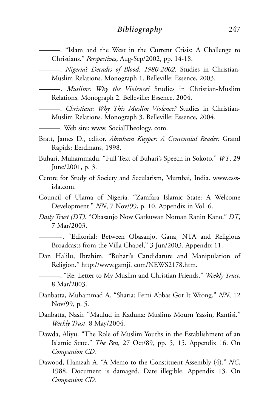- ———. "Islam and the West in the Current Crisis: A Challenge to Christians." *Perspectives*, Aug-Sep/2002, pp. 14-18.
- ———. *Nigeria's Decades of Blood: 1980-2002.* Studies in Christian-Muslim Relations. Monograph 1. Belleville: Essence, 2003.
- ———. *Muslims: Why the Violence?* Studies in Christian-Muslim Relations. Monograph 2. Belleville: Essence, 2004.
	- ———. *Christians: Why This Muslim Violence?* Studies in Christian-Muslim Relations. Monograph 3. Belleville: Essence, 2004.
	- ———. Web site: www. SocialTheology. com.
- Bratt, James D., editor. *Abraham Kuyper: A Centennial Reader.* Grand Rapids: Eerdmans, 1998.
- Buhari, Muhammadu. "Full Text of Buhari's Speech in Sokoto." *WT*, 29 June/2001, p. 3.
- Centre for Study of Society and Secularism, Mumbai, India. www.csssisla.com.
- Council of Ulama of Nigeria. "Zamfara Islamic State: A Welcome Development." *NN*, 7 Nov/99, p. 10. Appendix in Vol. 6.
- *Daily Trust (DT)*. "Obasanjo Now Garkuwan Noman Ranin Kano." *DT*, 7 Mar/2003.
	- ———-. "Editorial: Between Obasanjo, Gana, NTA and Religious Broadcasts from the Villa Chapel," 3 Jun/2003. Appendix 11.
- Dan Halilu, Ibrahim. "Buhari's Candidature and Manipulation of Religion." http://www.gamji. com/NEWS2178.htm.
- ———. "Re: Letter to My Muslim and Christian Friends." *Weekly Trust*, 8 Mar/2003.
- Danbatta, Muhammad A. "Sharia: Femi Abbas Got It Wrong." *NN*, 12 Nov/99, p. 5.
- Danbatta, Nasir. "Maulud in Kaduna: Muslims Mourn Yassin, Rantisi." *Weekly Trust*, 8 May/2004.
- Dawda, Aliyu. "The Role of Muslim Youths in the Establishment of an Islamic State." *The Pen*, 27 Oct/89, pp. 5, 15. Appendix 16. On *Companion CD.*
- Dawood, Hamzah A. "A Memo to the Constituent Assembly (4)." *NC*, 1988. Document is damaged. Date illegible. Appendix 13. On *Companion CD.*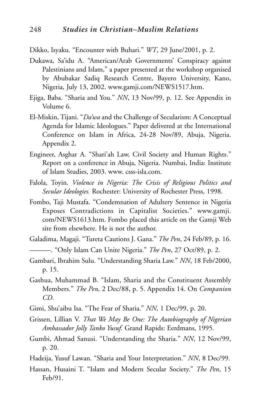Dikko, Isyaku. "Encounter with Buhari." *WT*, 29 June/2001, p. 2.

- Dukawa, Sa'idu A. "American/Arab Governments' Conspiracy against Palestinians and Islam," a paper presented at the workshop organised by Abubakar Sadiq Research Centre, Bayero University, Kano, Nigeria, July 13, 2002. www.gamji.com/NEWS1517.htm.
- Ejiga, Baba. "Sharia and You." *NN*, 13 Nov/99, p. 12. See Appendix in Volume 6.
- El-Miskin, Tijani. "*Da'wa* and the Challenge of Secularism: A Conceptual Agenda for Islamic Ideologues." Paper delivered at the International Conference on Islam in Africa, 24-28 Nov/89, Abuja, Nigeria. Appendix 2.
- Engineer, Asghar A. "Shari'ah Law, Civil Society and Human Rights." Report on a conference in Abuja, Nigeria. Numbai, India: Institute of Islam Studies, 2003. www. csss-isla.com.
- Falola, Toyin. *Violence in Nigeria: The Crisis of Religious Politics and Secular Ideologies.* Rochester: University of Rochester Press, 1998.
- Fombo, Taji Mustafa. "Condemnation of Adultery Sentence in Nigeria Exposes Contradictions in Capitalist Societies." www.gamji. com/NEWS1613.htm. Fombo placed this article on the Gamji Web site from elsewhere. He is not the author.
- Galadima, Magaji. "Tureta Cautions J. Gana." *The Pen*, 24 Feb/89, p. 16. ———. "Only Islam Can Unite Nigeria." *The Pen*, 27 Oct/89, p. 2.
- Gambari, Ibrahim Sulu. "Understanding Sharia Law." *NN*, 18 Feb/2000, p. 15.
- Gashua, Muhammad B. "Islam, Sharia and the Constituent Assembly Members." *The Pen,* 2 Dec/88, p. 5. Appendix 14. On *Companion CD.*
- Gimi, Shu'aibu Isa. "The Fear of Sharia." *NN*, 1 Dec/99, p. 20.
- Grissen, Lillian V. *That We May Be One: The Autobiography of Nigerian Ambassador Jolly Tanko Yusuf.* Grand Rapids: Eerdmans, 1995.
- Gumbi, Ahmad Sanusi. "Understanding the Sharia." *NN*, 12 Nov/99, p. 20.
- Hadeija, Yusuf Lawan. "Sharia and Your Interpretation." *NN*, 8 Dec/99.
- Hassan, Husaini T. "Islam and Modern Secular Society." *The Pen*, 15 Feb/91.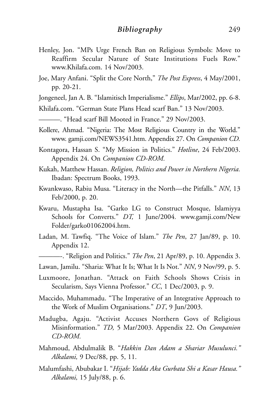- Henley, Jon. "MPs Urge French Ban on Religious Symbols: Move to Reaffirm Secular Nature of State Institutions Fuels Row." www.Khilafa.com. 14 Nov/2003.
- Joe, Mary Anfani. "Split the Core North," *The Post Express*, 4 May/2001, pp. 20-21.
- Jongeneel, Jan A. B. "Islamitisch Imperialisme." *Ellips*, Mar/2002, pp. 6-8.
- Khilafa.com. "German State Plans Head scarf Ban." 13 Nov/2003.
- ———. "Head scarf Bill Mooted in France." 29 Nov/2003.
- Kollere, Ahmad. "Nigeria: The Most Religious Country in the World." www. gamji.com/NEWS3541.htm. Appendix 27. On *Companion CD.*
- Kontagora, Hassan S. "My Mission in Politics." *Hotline*, 24 Feb/2003. Appendix 24. On *Companion CD-ROM.*
- Kukah, Matthew Hassan. *Religion, Politics and Power in Northern Nigeria.* Ibadan: Spectrum Books, 1993.
- Kwankwaso, Rabiu Musa. "Literacy in the North—the Pitfalls." *NN*, 13 Feb/2000, p. 20.
- Kwaru, Mustapha Isa. "Garko LG to Construct Mosque, Islamiyya Schools for Converts." *DT,* 1 June/2004*.* www.gamji.com/New Folder/garko01062004.htm.
- Ladan, M. Tawfiq. "The Voice of Islam." *The Pen*, 27 Jan/89, p. 10. Appendix 12.
	- ———-. "Religion and Politics." *The Pen*, 21 Apr/89, p. 10. Appendix 3.
- Lawan, Jamilu. "Sharia: What It Is; What It Is Not." *NN*, 9 Nov/99, p. 5.
- Luxmoore, Jonathan. "Attack on Faith Schools Shows Crisis in Secularism, Says Vienna Professor." *CC*, 1 Dec/2003, p. 9.
- Maccido, Muhammadu. "The Imperative of an Integrative Approach to the Work of Muslim Organisations." *DT*, 9 Jun/2003.
- Madugba, Agaju. "Activist Accuses Northern Govs of Religious Misinformation." *TD,* 5 Mar/2003. Appendix 22. On *Companion CD-ROM.*
- Mahmoud, Abdulmalik B. "*Hakkin Dan Adam a Shariar Musulunci." Alkalami,* 9 Dec/88, pp. 5, 11.
- Malumfashi, Abubakar I. "*Hijab: Yadda Aka Gurbata Shi a Kasar Hausa." Alkalami,* 15 July/88, p. 6.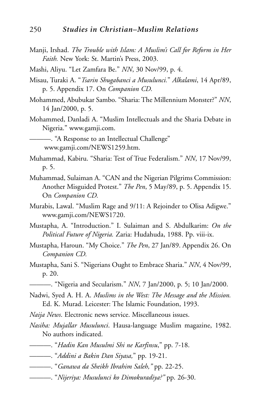- Manji, Irshad. *The Trouble with Islam: A Muslim's Call for Reform in Her Faith.* New York: St. Martin's Press, 2003.
- Mashi, Aliyu. "Let Zamfara Be." *NN*, 30 Nov/99, p. 4.
- Misau, Turaki A. "*Tsarin Shugabanci a Musulunci.*" *Alkalami*, 14 Apr/89, p. 5. Appendix 17. On *Companion CD.*
- Mohammed, Abubukar Sambo. "Sharia: The Millennium Monster?" *NN*, 14 Jan/2000, p. 5.
- Mohammed, Danladi A. "Muslim Intellectuals and the Sharia Debate in Nigeria." www.gamji.com.

———. "A Response to an Intellectual Challenge" www.gamji.com/NEWS1259.htm.

- Muhammad, Kabiru. "Sharia: Test of True Federalism." *NN*, 17 Nov/99, p. 5.
- Muhammad, Sulaiman A. "CAN and the Nigerian Pilgrims Commission: Another Misguided Protest." *The Pen*, 5 May/89, p. 5. Appendix 15. On *Companion CD.*
- Murabis, Lawal. "Muslim Rage and 9/11: A Rejoinder to Olisa Adigwe." www.gamji.com/NEWS1720.
- Mustapha, A. "Introduction." I. Sulaiman and S. Abdulkarim: *On the Political Future of Nigeria.* Zaria: Hudahuda, 1988. Pp. viii-ix.
- Mustapha, Haroun. "My Choice." *The Pen*, 27 Jan/89. Appendix 26. On *Companion CD.*
- Mustapha, Sani S. "Nigerians Ought to Embrace Sharia." *NN*, 4 Nov/99, p. 20.
	- ———. "Nigeria and Secularism." *NN*, 7 Jan/2000, p. 5; 10 Jan/2000.
- Nadwi, Syed A. H. A. *Muslims in the West: The Message and the Mission.* Ed. K. Murad. Leicester: The Islamic Foundation, 1993.
- *Naija News*. Electronic news service. Miscellaneous issues.
- *Nasiha: Mujallar Musulunci*. Hausa-language Muslim magazine, 1982. No authors indicated.
- ———. "*Hadin Kan Musulmi Shi ne Karfinsu*," pp. 7-18.
- ———. "*Addini a Bakin Dan Siyasa,*" pp. 19-21.
- ———. "*Ganawa da Sheikh Ibrahim Saleh,"* pp. 22-25.
- ———. "*Nijeriya: Musulunci ko Dimokuradiya?"* pp. 26-30.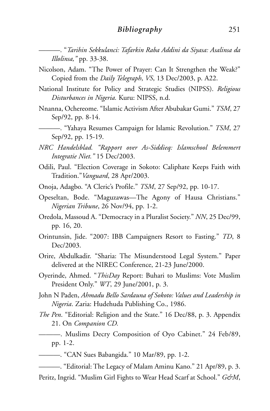———. "*Tarihin Sekkulanci: Tafarkin Raba Addini da Siyasa: Asalinsa da Illolinsa,"* pp. 33-38.

- Nicolson, Adam. "The Power of Prayer: Can It Strengthen the Weak?" Copied from the *Daily Telegraph*, *VS*, 13 Dec/2003, p. A22.
- National Institute for Policy and Strategic Studies (NIPSS). *Religious Disturbances in Nigeria.* Kuru: NIPSS, n.d.
- Nnanna, Ochereome. "Islamic Activism After Abubakar Gumi." *TSM*, 27 Sep/92, pp. 8-14.
	- ———. "Yahaya Resumes Campaign for Islamic Revolution." *TSM*, 27 Sep/92, pp. 15-19.
- *NRC Handelsblad. "Rapport over As-Siddieq: Islamschool Belemmert Integratie Niet."* 15 Dec/2003.
- Odili, Paul. "Election Coverage in Sokoto: Caliphate Keeps Faith with Tradition."*Vanguard*, 28 Apr/2003.
- Onoja, Adagbo. "A Cleric's Profile." *TSM*, 27 Sep/92, pp. 10-17.
- Opeseltan, Bode. "Maguzawas—The Agony of Hausa Christians." *Nigerian Tribune*, 26 Nov/94, pp. 1-2.
- Oredola, Massoud A. "Democracy in a Pluralist Society." *NN*, 25 Dec/99, pp. 16, 20.
- Orintunsin, Jide. "2007: IBB Campaigners Resort to Fasting." *TD*, 8 Dec/2003.
- Orire, Abdulkadir. "Sharia: The Misunderstood Legal System." Paper delivered at the NIREC Conference, 21-23 June/2000.
- Oyerinde, Ahmed. "*ThisDay* Report: Buhari to Muslims: Vote Muslim President Only." *WT*, 29 June/2001, p. 3.
- John N Paden, *Ahmadu Bello Sardauna of Sokoto: Values and Leadership in Nigeria*. Zaria: Hudehuda Publishing Co., 1986.
- *The Pen*. "Editorial: Religion and the State." 16 Dec/88, p. 3. Appendix 21. On *Companion CD.*
	- ———. Muslims Decry Composition of Oyo Cabinet." 24 Feb/89, pp. 1-2.
- ———. "CAN Sues Babangida." 10 Mar/89, pp. 1-2.
- ———. "Editorial: The Legacy of Malam Aminu Kano." 21 Apr/89, p. 3. Peritz, Ingrid. "Muslim Girl Fights to Wear Head Scarf at School." G&M,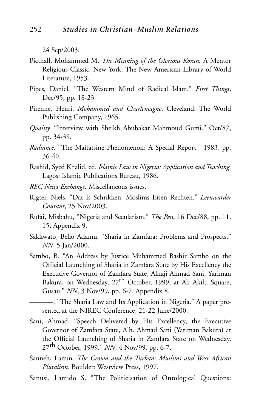24 Sep/2003.

- Picthall, Mohammed M. *The Meaning of the Glorious Koran.* A Mentor Religious Classic. New York: The New American Library of World Literature, 1953.
- Pipes, Daniel. "The Western Mind of Radical Islam." *First Things*, Dec/95, pp. 18-23.
- Pirenne, Henri. *Mohammed and Charlemagne*. Cleveland: The World Publishing Company, 1965.
- *Quality.* "Interview with Sheikh Abubakar Mahmoud Gumi." Oct/87, pp. 34-39.
- *Radiance*. "The Maitatsine Phenomenon: A Special Report." 1983, pp. 36-40.
- Rashid, Syed Khalid, ed. *Islamic Law in Nigeria: Application and Teaching.* Lagos: Islamic Publications Bureau, 1986.
- *REC News Exchange.* Miscellaneous issues.
- Rigter, Niels. "Dat Is Schrikken: Moslims Eisen Rechten." *Leeuwarder Courant*, 25 Nov/2003.
- Rufai, Misbahu, "Nigeria and Secularism." *The Pen*, 16 Dec/88, pp. 11, 15. Appendix 9.
- Sakkwato, Bello Adamu. "Sharia in Zamfara: Problems and Prospects." *NN*, 5 Jan/2000.
- Sambo, B. "An Address by Justice Muhammed Bashir Sambo on the Official Launching of Sharia in Zamfara State by His Excellency the Executive Governor of Zamfara State, Alhaji Ahmad Sani, Yariman Bakura, on Wednesday, 27<sup>th</sup> October, 1999, at Ali Akilu Square, Gusau." *NN*, 3 Nov/99, pp. 6-7. Appendix 8.

———-. "The Sharia Law and Its Application in Nigeria." A paper presented at the NIREC Conference, 21-22 June/2000.

- Sani, Ahmad. "Speech Delivered by His Excellency, the Executive Governor of Zamfara State, Alh. Ahmad Sani (Yariman Bakura) at the Official Launching of Sharia in Zamfara State on Wednesday, 27th October, 1999." *NN*, 4 Nov/99, pp. 6-7.
- Sanneh, Lamin. *The Crown and the Turban: Muslims and West African Pluralism.* Boulder: Westview Press, 1997.
- Sanusi, Lamido S. "The Politicisation of Ontological Questions: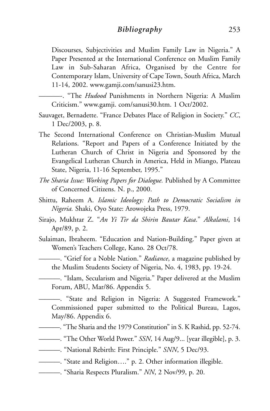Discourses, Subjectivities and Muslim Family Law in Nigeria." A Paper Presented at the International Conference on Muslim Family Law in Sub-Saharan Africa, Organised by the Centre for Contemporary Islam, University of Cape Town, South Africa, March 11-14, 2002. www.gamji.com/sanusi23.htm.

———-. "The *Hudood* Punishments in Northern Nigeria: A Muslim Criticism." www.gamji. com/sanusi30.htm. 1 Oct/2002.

- Sauvaget, Bernadette. "France Debates Place of Religion in Society." *CC*, 1 Dec/2003, p. 8.
- The Second International Conference on Christian-Muslim Mutual Relations. "Report and Papers of a Conference Initiated by the Lutheran Church of Christ in Nigeria and Sponsored by the Evangelical Lutheran Church in America, Held in Miango, Plateau State, Nigeria, 11-16 September, 1995."
- *The Sharia Issue: Working Papers for Dialogue.* Published by A Committee of Concerned Citizens. N. p., 2000.
- Shittu, Raheem A. *Islamic Ideology: Path to Democratic Socialism in Nigeria.* Shaki, Oyo State: Arowojeka Press, 1979.
- Sirajo, Mukhtar Z. "*An Yi Tir da Shirin Bautar Kasa*." *Alkalami*, 14 Apr/89, p. 2.
- Sulaiman, Ibraheem. "Education and Nation-Building." Paper given at Women's Teachers College, Kano. 28 Oct/78.

———. "Grief for a Noble Nation." *Radiance*, a magazine published by the Muslim Students Society of Nigeria, No. 4, 1983, pp. 19-24.

———. "Islam, Secularism and Nigeria." Paper delivered at the Muslim Forum, ABU, Mar/86. Appendix 5.

———. "State and Religion in Nigeria: A Suggested Framework." Commissioned paper submitted to the Political Bureau, Lagos, May/86. Appendix 6.

- ———. "The Sharia and the 1979 Constitution" in S. K Rashid, pp. 52-74.
- ———. "The Other World Power." *SSN*, 14 Aug/9... [year illegible], p. 3.
- ———. "National Rebirth: First Principle." *SNN*, 5 Dec/93.
- ———. "State and Religion…." p. 2. Other information illegible.
- ———. "Sharia Respects Pluralism." *NN*, 2 Nov/99, p. 20.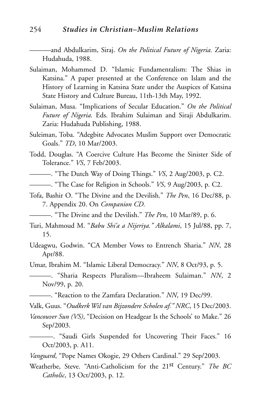## 254 *Studies in Christian–Muslim Relations*

———and Abdulkarim, Siraj. *On the Political Future of Nigeria.* Zaria: Hudahuda, 1988.

- Sulaiman, Mohammed D. "Islamic Fundamentalism: The Shias in Katsina." A paper presented at the Conference on Islam and the History of Learning in Katsina State under the Auspices of Katsina State History and Culture Bureau, 11th-13th May, 1992.
- Sulaiman, Musa. "Implications of Secular Education." *On the Political Future of Nigeria.* Eds. Ibrahim Sulaiman and Siraji Abdulkarim. Zaria: Hudahuda Publishing, 1988.
- Suleiman, Toba. "Adegbite Advocates Muslim Support over Democratic Goals." *TD*, 10 Mar/2003.
- Todd, Douglas. "A Coercive Culture Has Become the Sinister Side of Tolerance." *VS*, 7 Feb/2003.
- ———. "The Dutch Way of Doing Things." *VS*, 2 Aug/2003, p. C2.
- ———. "The Case for Religion in Schools." *VS*, 9 Aug/2003, p. C2.
- Tofa, Bashir O. "The Divine and the Devilish." *The Pen*, 16 Dec/88, p. 7. Appendix 20. On *Companion CD.*
	- ———. "The Divine and the Devilish." *The Pen*, 10 Mar/89, p. 6.
- Turi, Mahmoud M. "*Babu Shi'a a Nijeriya." Alkalami*, 15 Jul/88, pp. 7, 15.
- Udeagwu, Godwin. "CA Member Vows to Entrench Sharia." *NN*, 28 Apr/88.
- Umar, Ibrahim M. "Islamic Liberal Democracy." *NN*, 8 Oct/93, p. 5.
- ———. "Sharia Respects Pluralism—Ibraheem Sulaiman." *NN*, 2 Nov/99, p. 20.
	- ———. "Reaction to the Zamfara Declaration." *NN*, 19 Dec/99.

Valk, Guus. "*Oudkerk Wil van Bijzondere Scholen af." NRC*, 15 Dec/2003.

- *Vancouver Sun (VS)*, "Decision on Headgear Is the Schools' to Make." 26 Sep/2003.
- ———-. "Saudi Girls Suspended for Uncovering Their Faces." 16 Oct/2003, p. A11.
- *Vanguard*, "Pope Names Okogie, 29 Others Cardinal." 29 Sep/2003.
- Weatherbe, Steve. "Anti-Catholicism for the 21st Century." *The BC Catholic*, 13 Oct/2003, p. 12.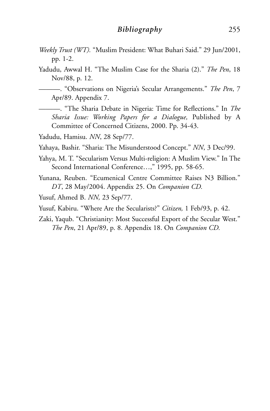- *Weekly Trust (WT).* "Muslim President: What Buhari Said." 29 Jun/2001, pp. 1-2.
- Yadudu, Awwal H. "The Muslim Case for the Sharia (2)." *The Pen*, 18 Nov/88, p. 12.

———. "Observations on Nigeria's Secular Arrangements." *The Pen*, 7 Apr/89. Appendix 7.

———. "The Sharia Debate in Nigeria: Time for Reflections." In *The Sharia Issue: Working Papers for a Dialogue,* Published by A Committee of Concerned Citizens, 2000. Pp. 34-43.

Yadudu, Hamisu. *NN*, 28 Sep/77.

Yahaya, Bashir. "Sharia: The Misunderstood Concept." *NN*, 3 Dec/99.

- Yahya, M. T. "Secularism Versus Multi-religion: A Muslim View." In The Second International Conference...," 1995, pp. 58-65.
- Yunana, Reuben. "Ecumenical Centre Committee Raises N3 Billion." *DT*, 28 May/2004. Appendix 25. On *Companion CD.*
- Yusuf, Ahmed B. *NN,* 23 Sep/77.
- Yusuf, Kabiru. "Where Are the Secularists?" *Citizen,* 1 Feb/93, p. 42.
- Zaki, Yaqub. "Christianity: Most Successful Export of the Secular West." *The Pen*, 21 Apr/89, p. 8. Appendix 18. On *Companion CD.*